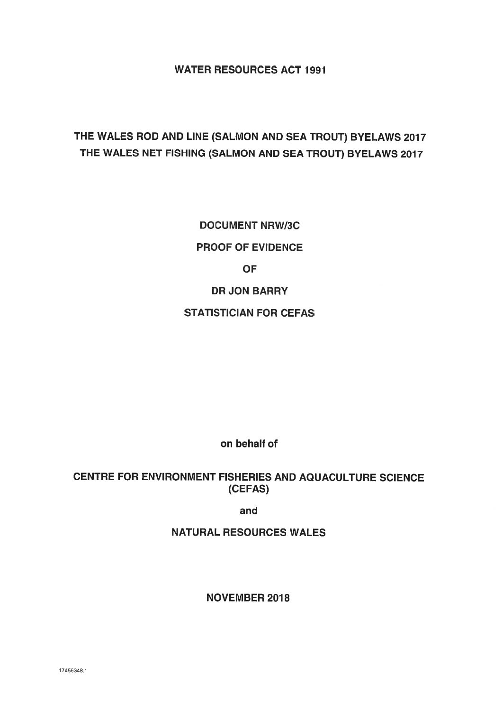WATER RESOURCES ACT 1991

## THE WALES ROD AND LINE (SALMON AND SEA TROUT) BYELAWS 2077 THE WALES NET FISHING (SALMON AND SEA TROUT) BYELAWS 2017

DOCUMENT NRW/3C PROOF OF EVIDENCE OF DR JON BARRY STATISTICIAN FOR CEFAS

on behalf of

CENTRE FOR ENVIRONMENT FISHERIES AND AQUACULTURE SCIENCE (CEFAS)

and

NATURAL RESOURCES WALES

NOVEMBER 2018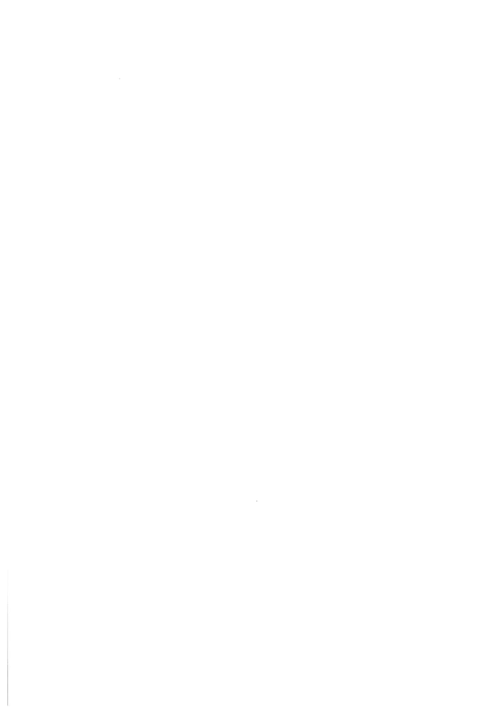$\mathcal{L}^{\text{max}}_{\text{max}}$  , where  $\mathcal{L}^{\text{max}}_{\text{max}}$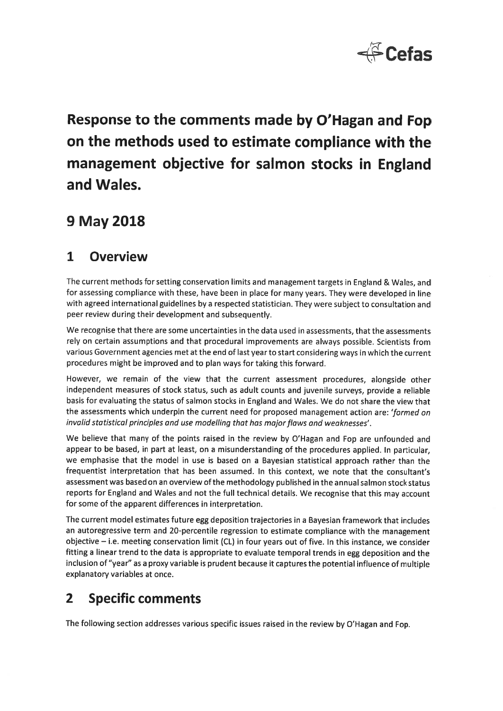

Response to the comments made by O'Hagan and Fop on the methods used to estimate compliance with the management objective for salmon stocks in England and Wales.

# 9 May 2018

## 1 Overview

The current methods for setting conservation limits and managemen<sup>t</sup> targets in England & Wales, and for assessing compliance with these, have been in <sup>p</sup>lace for many years. They were developed in line with agree<sup>d</sup> international guidelines by <sup>a</sup> respected statistician. They were subject to consultation and peer review during their development and subsequently.

We recognise that there are some uncertainties in the data used in assessments, that the assessments rely on certain assumptions and that procedural improvements are always possible. Scientists from various Government agencies met at the end of last year to start considering ways in which the current procedures might be improved and to <sup>p</sup>lan ways for taking this forward.

However, we remain of the view that the current assessment procedures, alongside other independent measures of stock status, such as adult counts and juvenile surveys, provide <sup>a</sup> reliable basis for evaluating the status of salmon stocks in England and Wales. We do not share the view that the assessments which underpin the current need for proposed managemen<sup>t</sup> action are: 'formed on invalid statistical principles and use modelling that has major flaws and weaknesses'.

We believe that many of the points raised in the review by O'Hagan and Fop are unfounded and appear to be based, in par<sup>t</sup> at least, on <sup>a</sup> misunderstanding of the procedures applied. In particular, we emphasise that the model in use is based on <sup>a</sup> Bayesian statistical approac<sup>h</sup> rather than the frequentist interpretation that has been assumed. In this context, we note that the consultant's assessment was based on an overview of the methodology published in the annual salmon stock status reports for England and Wales and not the full technical details. We recognise that this may account for some of the apparen<sup>t</sup> differences in interpretation.

The current model estimates future egg deposition trajectories in <sup>a</sup> Bayesian framework that includes an autoregressive term and 20-percentile regression to estimate compliance with the managemen<sup>t</sup> objective — i.e. meeting conservation limit (CL) in four years out of five. In this instance, we consider fitting <sup>a</sup> linear trend to the data is appropriate to evaluate temporal trends in egg deposition and the inclusion of "year" as a proxy variable is prudent because it captures the potential influence of multiple explanatory variables at once.

# 2 Specific comments

The following section addresses various specific issues raised in the review by O'Hagan and Fop.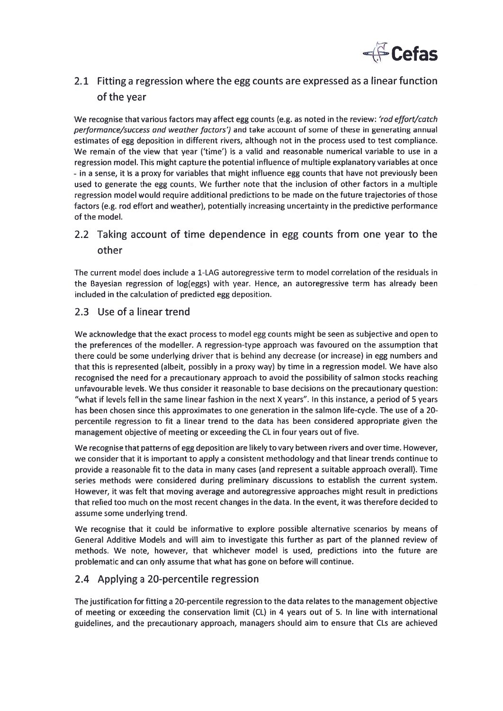

## 2.1 Fitting <sup>a</sup> regression where the egg counts are expressed as <sup>a</sup> linear function of the year

We recognise that various factors may affect egg counts (e.g. as noted in the review: *'rod effort/catch* performance/success and weather factors') and take account of some of these in generating annual estimates of egg deposition in different rivers, although not in the process used to test compliance. We remain of the view that year ('time') is <sup>a</sup> valid and reasonable numerical variable to use in <sup>a</sup> regression model. This might capture the potential influence of multiple explanatory variables at once - in <sup>a</sup> sense, it is <sup>a</sup> proxy for variables that might influence egg counts that have not previously been used to generate the egg counts. We further note that the inclusion of other factors in <sup>a</sup> multiple regression model would require additional predictions to be made on the future trajectories of those factors (e.g. rod effort and weather), potentially increasing uncertainty in the predictive performance of the model.

## 2.2 Taking account of time dependence in egg counts from one year to the other

The current model does include <sup>a</sup> 1-LAG autoregressive term to model correlation of the residuals in the Bayesian regression of log(eggs) with year. Hence, an autoregressive term has already been included in the calculation of predicted egg deposition.

### 2.3 Use of <sup>a</sup> linear trend

We acknowledge that the exact process to model egg counts might be seen as subjective and open to the preferences of the modeller. A regression-type approach was favoured on the assumption that there could be some underlying driver that is behind any decrease (or increase) in egg numbers and that this is represented (albeit, possibly in <sup>a</sup> proxy way) by time in <sup>a</sup> regression model. We have also recognised the need for <sup>a</sup> precautionary approach to avoid the possibility of salmon stocks reaching unfavourable levels. We thus consider it reasonable to base decisions on the precautionary question: "what if levels fell in the same linear fashion in the next X years". In this instance, <sup>a</sup> period of 5 years has been chosen since this approximates to one generation in the salmon life-cycle. The use of <sup>a</sup> 20 percentile regression to fit <sup>a</sup> linear trend to the data has been considered appropriate given the managemen<sup>t</sup> objective of meeting or exceeding the CL in four years out of five.

We recognise that patterns of egg deposition are likely to vary between rivers and overtime. However, we consider that it is important to apply <sup>a</sup> consistent methodology and that linear trends continue to provide <sup>a</sup> reasonable fit to the data in many cases (and represen<sup>t</sup> <sup>a</sup> suitable approach overall). Time series methods were considered during preliminary discussions to establish the current system However, it was felt that moving average and autoregressive approaches might result in predictions that relied too much on the most recent changes in the data. In the event, it was therefore decided to assume some underlying trend.

We recognise that it could be informative to explore possible alternative scenarios by means of General Additive Models and will aim to investigate this further as par<sup>t</sup> of the planned review of methods. We note, however, that whichever model is used, predictions into the future are problematic and can only assume that what has gone on before will continue.

### 2.4 Applying <sup>a</sup> 20-percentile regression

The justification for fitting <sup>a</sup> 20-percentile regression to the data relates to the managemen<sup>t</sup> objective of meeting or exceeding the conservation limit (CL) in 4 years out of 5. In line with international guidelines, and the precautionary approach, managers should aim to ensure that CLs are achieved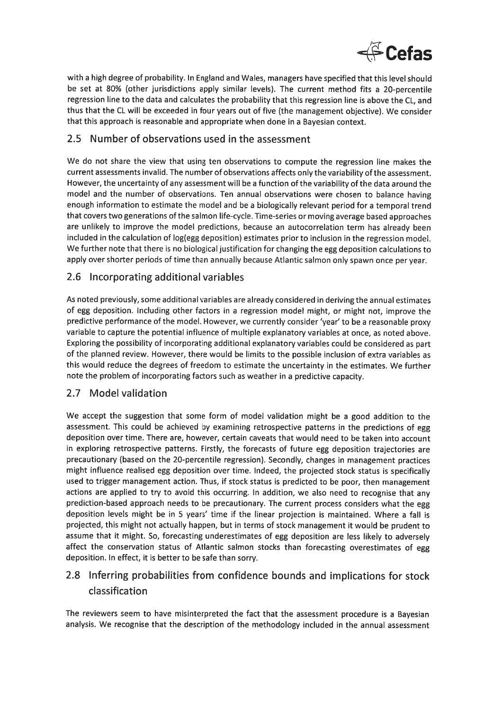

with <sup>a</sup> high degree of probability. In England and Wales, managers have specified that this level should be set at 80% (other jurisdictions apply similar levels). The current method fits <sup>a</sup> 20-percentile regression line to the data and calculates the probability that this regression line is above the CL, and thus that the CL will be exceeded in four years out of five (the managemen<sup>t</sup> objective). We consider that this approac<sup>h</sup> is reasonable and appropriate when done in <sup>a</sup> Bayesian context.

### 2.5 Number of observations used in the assessment

We do not share the view that using ten observations to compute the regression line makes the current assessments invalid. The number of observations affects only the variability of the assessment. However, the uncertainty of any assessment will be <sup>a</sup> function of the variability of the data around the model and the number of observations. Ten annual observations were chosen to balance having enoug<sup>h</sup> information to estimate the model and be <sup>a</sup> biologically relevant period for <sup>a</sup> temporal trend that covers two generations of the salmon life-cycle. Time-series or moving average based approaches are unlikely to improve the model predictions, because an autocorrelation term has already been included in the calculation of log(egg deposition) estimates prior to inclusion in the regression model. We further note that there is no biological justification for changing the egg deposition calculations to apply over shorter periods of time than annually because Atlantic salmon only spawn once per year.

#### 2.6 Incorporating additional variables

As noted previously, some additional variables are already considered in deriving the annual estimates of egg deposition. Including other factors in <sup>a</sup> regression model might, or might not, improve the predictive performance of the model. However, we currently consider 'year' to be <sup>a</sup> reasonable proxy variable to capture the potential influence of multiple explanatory variables at once, as noted above. Exploring the possibility of incorporating additional explanatory variables could be considered as par<sup>t</sup> of the <sup>p</sup>lanned review. However, there would be limits to the possible inclusion of extra variables as this would reduce the degrees of freedom to estimate the uncertainty in the estimates. We further note the problem of incorporating factors such as weather in <sup>a</sup> predictive capacity.

#### 2.7 Model validation

We accep<sup>t</sup> the suggestion that some form of model validation might be <sup>a</sup> goo<sup>d</sup> addition to the assessment. This could be achieved by examining retrospective patterns in the predictions of egg deposition over time. There are, however, certain caveats that would need to be taken into account in exploring retrospective patterns. Firstly, the forecasts of future egg deposition trajectories are precautionary (based on the 20-percentile regression). Secondly, changes in managemen<sup>t</sup> practices might influence realised egg deposition over time. Indeed, the projected stock status is specifically used to trigger managemen<sup>t</sup> action. Thus, if stock status is predicted to be poor, then managemen<sup>t</sup> actions are applied to try to avoid this occurring. In addition, we also need to recognise that any prediction-based approac<sup>h</sup> needs to be precautionary. The current process considers what the egg deposition levels might be in 5 years' time if the linear projection is maintained. Where <sup>a</sup> fall is projected, this might not actually happen, but in terms of stock managemen<sup>t</sup> it would be prudent to assume that it might. So, forecasting underestimates of egg deposition are less likely to adversely affect the conservation status of Atlantic salmon stocks than forecasting overestimates of egg deposition. In effect, it is better to be safe than sorry.

## 2.8 Inferring probabilities from confidence bounds and implications for stock classification

The reviewers seem to have misinterpreted the fact that the assessment procedure is <sup>a</sup> Bayesian analysis. We recognise that the description of the methodology included in the annual assessment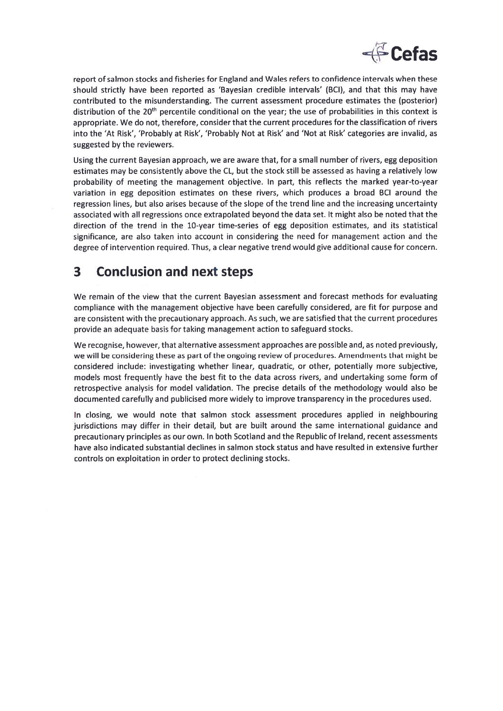

repor<sup>t</sup> of salmon stocks and fisheries for England and Wales refers to confidence intervals when these should strictly have been reported as 'Bayesian credible intervals' (BCI), and that this may have contributed to the misunderstanding. The current assessment procedure estimates the (posterior) distribution of the 20<sup>th</sup> percentile conditional on the year; the use of probabilities in this context is appropriate. We do not, therefore, consider that the current procedures for the classification of rivers into the 'At Risk', 'Probably at Risk', 'Probably Not at Risk' and 'Not at Risk' categories are invalid, as suggested by the reviewers.

Using the current Bayesian approach, we are aware that, for <sup>a</sup> small number of rivers, egg deposition estimates may be consistently above the CL, but the stock still be assessed as having <sup>a</sup> relatively low probability of meeting the managemen<sup>t</sup> objective. In part, this reflects the marked year-to-year variation in egg deposition estimates on these rivers, which produces <sup>a</sup> broad BCI around the regression lines, but also arises because of the slope of the trend line and the increasing uncertainty associated with all regressions once extrapolated beyond the data set. It might also be noted that the direction of the trend in the 10-year time-series of egg deposition estimates, and its statistical significance, are also taken into account in considering the need for managemen<sup>t</sup> action and the degree of intervention required. Thus, <sup>a</sup> clear negative trend would give additional cause for concern.

#### 3Conclusion and next steps

We remain of the view that the current Bayesian assessment and forecast methods for evaluating compliance with the managemen<sup>t</sup> objective have been carefully considered, are fit for purpose and are consistent with the precautionary approach. As such, we are satisfied that the current procedures provide an adequate basis for taking managemen<sup>t</sup> action to safeguard stocks.

We recognise, however, that alternative assessment approaches are possible and, as noted previously, we will be considering these as par<sup>t</sup> of the ongoing review of procedures. Amendments that might be considered include: investigating whether linear, quadratic, or other, potentially more subjective, models most frequently have the best fit to the data across rivers, and undertaking some form of retrospective analysis for model validation. The precise details of the methodology would also be documented carefully and publicised more widely to improve transparency in the procedures used.

In closing, we would note that salmon stock assessment procedures applied in neighbouring jurisdictions may differ in their detail, but are built around the same international guidance and precautionary principles as our own. In both Scotland and the Republic of Ireland, recent assessments have also indicated substantial declines in salmon stock status and have resulted in extensive further controls on exploitation in order to protect declining stocks.